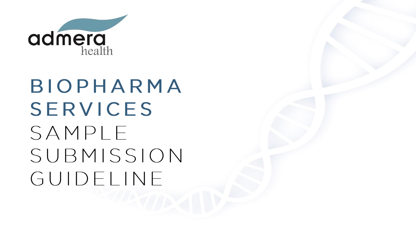

# BIOPHARMA SERVICES SAMPLE SUBMISSION GUIDELINE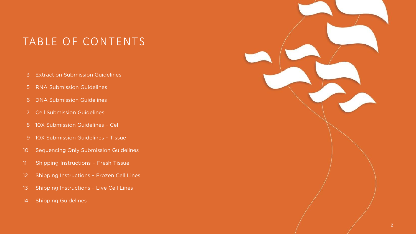# TABLE OF CONTENTS

- [Extraction Submission Guidelines](#page-2-0)
- [5 RNA Submission Guidelines](#page-4-0)
- [DNA Submission Guidelines](#page-5-0)
- [Cell Submission Guidelines](#page-6-0)
- [10X Submission Guidelines Cell](#page-7-0)
- [10X Submission Guidelines Tissue](#page-8-0)
- [Sequencing Only Submission Guidelines](#page-9-0)
- [Shipping Instructions Fresh Tissue](#page-10-0)
- [Shipping Instructions Frozen Cell Lines](#page-11-0)
- Shipping Instructions Live Cell Lines
- [Shipping Guidelines](#page-13-0)

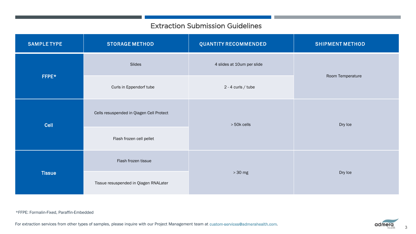## Extraction Submission Guidelines

<span id="page-2-1"></span><span id="page-2-0"></span>

| <b>SAMPLE TYPE</b> | <b>STORAGE METHOD</b>                                   | <b>QUANTITY RECOMMENDED</b> | <b>SHIPMENT METHOD</b> |  |
|--------------------|---------------------------------------------------------|-----------------------------|------------------------|--|
|                    | Slides                                                  | 4 slides at 10um per slide  |                        |  |
| FFPE*              | Curls in Eppendorf tube                                 | $2 - 4$ curls / tube        | Room Temperature       |  |
| Cell               | Cells resuspended in Qiagen Cell Protect<br>> 50k cells |                             | Dry Ice                |  |
|                    | Flash frozen cell pellet                                |                             |                        |  |
| <b>Tissue</b>      | Flash frozen tissue                                     | $>30$ mg                    |                        |  |
|                    | Tissue resuspended in Qiagen RNALater                   |                             | Dry Ice                |  |

For extraction services from other types of samples, please inquire with our Project Management team at [custom-services@admerahealth.com.](mailto:custom-services@admerahealth.com)

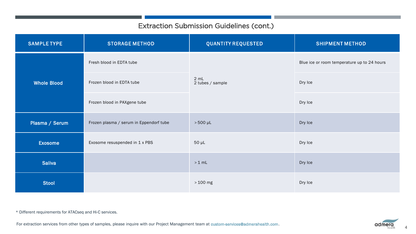# Extraction Submission Guidelines (cont.)

<span id="page-3-0"></span>

| <b>SAMPLE TYPE</b> | <b>STORAGE METHOD</b>                   | <b>QUANTITY REQUESTED</b> | <b>SHIPMENT METHOD</b>                      |
|--------------------|-----------------------------------------|---------------------------|---------------------------------------------|
|                    | Fresh blood in EDTA tube                |                           | Blue ice or room temperature up to 24 hours |
| <b>Whole Blood</b> | Frozen blood in EDTA tube               | 2 mL<br>2 tubes / sample  | Dry Ice                                     |
|                    | Frozen blood in PAXgene tube            |                           | Dry Ice                                     |
| Plasma / Serum     | Frozen plasma / serum in Eppendorf tube | $>500$ µL                 | Dry Ice                                     |
| <b>Exosome</b>     | Exosome resuspended in 1 x PBS          | $50 \mu L$                | Dry Ice                                     |
| <b>Saliva</b>      |                                         | $>1$ mL                   | Dry Ice                                     |
| <b>Stool</b>       |                                         | $>100$ mg                 | Dry Ice                                     |

\* Different requirements for ATACseq and Hi-C services.

For extraction services from other types of samples, please inquire with our Project Management team at [custom-services@admerahealth.com](mailto:custom-services@admerahealth.com).

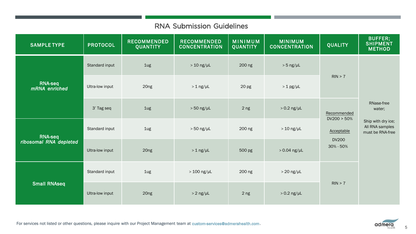### RNA Submission Guidelines

<span id="page-4-0"></span>

| <b>SAMPLE TYPE</b>                       | <b>PROTOCOL</b> | <b>RECOMMENDED</b><br><b>QUANTITY</b> | <b>RECOMMENDED</b><br><b>CONCENTRATION</b> | <b>MINIMUM</b><br><b>QUANTITY</b> | <b>MINIMUM</b><br><b>CONCENTRATION</b> | <b>QUALITY</b>                                                        | <b>BUFFER;</b><br><b>SHIPMENT</b><br><b>METHOD</b>                                |
|------------------------------------------|-----------------|---------------------------------------|--------------------------------------------|-----------------------------------|----------------------------------------|-----------------------------------------------------------------------|-----------------------------------------------------------------------------------|
| <b>RNA-seq</b><br>mRNA enriched          | Standard input  | 1ug                                   | $> 10$ ng/µL                               | 200 ng                            | $> 5$ ng/ $\mu$ L                      |                                                                       | RNase-free<br>water;<br>Ship with dry ice;<br>All RNA samples<br>must be RNA-free |
|                                          | Ultra-low input | 20ng                                  | $> 1$ ng/ $\mu$ L                          | 20 <sub>pg</sub>                  | $> 1$ pg/µL                            | RIN > 7                                                               |                                                                                   |
|                                          | 3' Tag seq      | 1ug                                   | $> 50$ ng/µL                               | 2 <sub>ng</sub>                   | $> 0.2$ ng/µL                          | Recommended<br>DV200 > 50%<br>Acceptable<br><b>DV200</b><br>30% - 50% |                                                                                   |
| <b>RNA-seq</b><br>ribosomal RNA depleted | Standard input  | 1ug                                   | $> 50$ ng/µL                               | 200 ng                            | $>10$ ng/ $\mu$ L                      |                                                                       |                                                                                   |
|                                          | Ultra-low input | 20ng                                  | $> 1$ ng/ $\mu$ L                          | 500 pg                            | $>0.04$ ng/µL                          |                                                                       |                                                                                   |
| <b>Small RNAseq</b>                      | Standard input  | 1ug                                   | $> 100$ ng/ $\mu$ L                        | 200 ng                            | $>20$ ng/µL                            |                                                                       |                                                                                   |
|                                          | Ultra-low input | 20ng                                  | $> 2$ ng/ $\mu$ L                          | 2 <sub>ng</sub>                   | $> 0.2$ ng/ $\mu$ L                    | RIN > 7                                                               |                                                                                   |

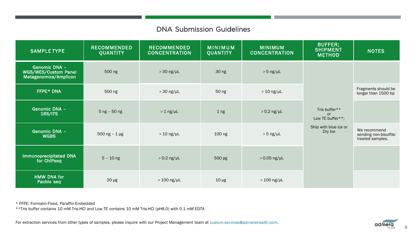### DNA Submission Guidelines

<span id="page-5-0"></span>

| <b>SAMPLE TYPE</b>                                             | <b>RECOMMENDED</b><br><b>QUANTITY</b> | <b>RECOMMENDED</b><br><b>CONCENTRATION</b> | <b>MINIMUM</b><br><b>QUANTITY</b> | <b>MINIMUM</b><br><b>CONCENTRATION</b> | BUFFER;<br><b>SHIPMENT</b><br><b>METHOD</b>    | <b>NOTES</b>                                              |
|----------------------------------------------------------------|---------------------------------------|--------------------------------------------|-----------------------------------|----------------------------------------|------------------------------------------------|-----------------------------------------------------------|
| Genomic DNA -<br>WGS/WES/Custom Panel<br>Metagenomics/Amplicon | 500 ng                                | $> 30$ ng/µL                               | 30 ng                             | $> 5$ ng/ $\mu$ L                      |                                                |                                                           |
| FFPE* DNA                                                      | 500 ng                                | $>30$ ng/µL                                | 50 ng                             | $> 10$ ng/µL                           | Tris buffer**<br><b>or</b><br>Low TE buffer**; | Fragments should be<br>longer than 1500 bp                |
| <b>Genomic DNA -</b><br><b>16S/ITS</b>                         | $5$ ng - $50$ ng                      | $> 1$ ng/µL                                | 1 <sub>ng</sub>                   | $> 0.2$ ng/µL                          |                                                |                                                           |
| <b>Genomic DNA -</b><br><b>WGBS</b>                            | $500$ ng - 1 µg                       | $> 10$ ng/µL                               | 100 ng                            | $> 5$ ng/ $\mu$ L                      | Ship with blue ice or<br>Dry Ice               | We recommend<br>sending non-bisulfite<br>treated samples. |
| Immunoprecipitated DNA<br>for ChiPseq                          | $5 - 10$ ng                           | $> 0.2$ ng/µL                              | 500 pg                            | $>0.05$ ng/µL                          |                                                |                                                           |
| <b>HMW DNA for</b><br>Pacbio seq                               | $20 \mu g$                            | $>100$ ng/µL                               | $10 \mu g$                        | $>100$ ng/µL                           |                                                |                                                           |

\* FFPE: Formalin-Fixed, Paraffin-Embedded

\*\*Tris buffer contains 10 mM Tris-HCl and Low TE contains 10 mM Tris-HCl (pH8.0) with 0.1 mM EDTA

For extraction services from other types of samples, please inquire with our Project Management team at [custom-services@admerahealth.com](mailto:custom-services@admerahealth.com).

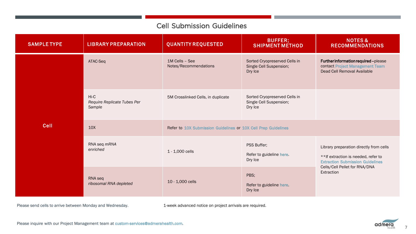### Cell Submission Guidelines

<span id="page-6-1"></span><span id="page-6-0"></span>

| <b>SAMPLE TYPE</b> | <b>LIBRARY PREPARATION</b>                    | <b>QUANTITY REQUESTED</b>                                      | BUFFER;<br><b>SHIPMENT METHOD</b>                                   | <b>NOTES&amp;</b><br><b>RECOMMENDATIONS</b>                                                                                |
|--------------------|-----------------------------------------------|----------------------------------------------------------------|---------------------------------------------------------------------|----------------------------------------------------------------------------------------------------------------------------|
| <b>Cell</b>        | ATAC-Seq                                      | 1M Cells - See<br>Notes/Recommendations                        | Sorted Cryopreserved Cells in<br>Single Cell Suspension;<br>Dry Ice | Further information required - please<br>contact Project Management Team<br>Dead Cell Removal Available                    |
|                    | Hi-C<br>Require Replicate Tubes Per<br>Sample | 5M Crosslinked Cells, in duplicate                             | Sorted Cryopreserved Cells in<br>Single Cell Suspension;<br>Dry Ice |                                                                                                                            |
|                    | 10 <sub>X</sub>                               | Refer to 10X Submission Guidelines or 10X Cell Prep Guidelines |                                                                     |                                                                                                                            |
|                    | RNA seq mRNA<br>enriched                      | 1 - 1,000 cells                                                | PSS Buffer;<br>Refer to guideline here.<br>Dry Ice                  | Library preparation directly from cells<br>** If extraction is needed, refer to<br><b>Extraction Submission Guidelines</b> |
|                    | RNA seq<br>ribosomal RNA depleted             | 10 - 1,000 cells                                               | PBS;<br>Refer to guideline here.<br>Dry Ice                         | Cells/Cell Pellet for RNA/DNA<br>Extraction                                                                                |

Please send cells to arrive between Monday and Wednesday. 1-week advanced notice on project arrivals are required.

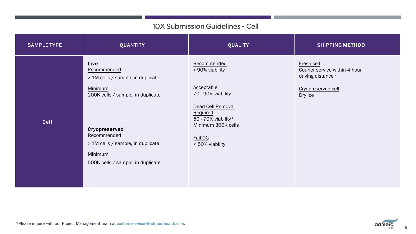### 10X Submission Guidelines - Cell

<span id="page-7-1"></span><span id="page-7-0"></span>

| <b>SAMPLE TYPE</b> | <b>QUANTITY</b>                                                                                                                                                                                                               | <b>QUALITY</b>                                                                                                                                                                 | <b>SHIPPING METHOD</b>                                                                            |
|--------------------|-------------------------------------------------------------------------------------------------------------------------------------------------------------------------------------------------------------------------------|--------------------------------------------------------------------------------------------------------------------------------------------------------------------------------|---------------------------------------------------------------------------------------------------|
| Cell               | Live<br>Recommended<br>> 1M cells / sample, in duplicate<br>Minimum<br>200K cells / sample, in duplicate<br>Cryopreserved<br>Recommended<br>> 1M cells / sample, in duplicate<br>Minimum<br>500K cells / sample, in duplicate | Recommended<br>> 90% viability<br>Acceptable<br>70 - 90% viability<br>Dead Cell Removal<br>Required<br>50 - 70% viability*<br>Minimum 300K cells<br>Fail QC<br>< 50% viability | Fresh cell<br>Courier service within 4 hour<br>driving distance*<br>Cryopreserved cell<br>Dry Ice |

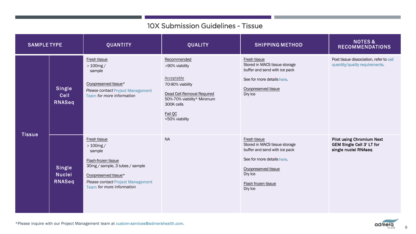## 10X Submission Guidelines - Tissue

<span id="page-8-0"></span>

| <b>SAMPLE TYPE</b> |                                   | <b>QUANTITY</b>                                                                                                                                                                                   | <b>QUALITY</b>                                                                                                                                                         | <b>SHIPPING METHOD</b>                                                                                                                                                            | <b>NOTES&amp;</b><br><b>RECOMMENDATIONS</b>                                                  |
|--------------------|-----------------------------------|---------------------------------------------------------------------------------------------------------------------------------------------------------------------------------------------------|------------------------------------------------------------------------------------------------------------------------------------------------------------------------|-----------------------------------------------------------------------------------------------------------------------------------------------------------------------------------|----------------------------------------------------------------------------------------------|
|                    | Single<br>Cell<br>RNASeq          | Fresh tissue<br>$>100$ mg /<br>sample<br>Cryopreserved tissue*<br><b>Please contact Project Management</b><br>Team for more information                                                           | Recommended<br>>90% viability<br>Acceptable<br>70-90% viability<br>Dead Cell Removal Required<br>50%-70% viability* Minimum<br>300K cells<br>Fail QC<br><50% viability | Fresh tissue<br>Stored in MACS tissue storage<br>buffer and send with ice pack<br>See for more details here.<br>Cryopreserved tissue<br>Dry Ice                                   | Post tissue dissociation, refer to cell<br>quantity/quality requirements.                    |
| <b>Tissue</b>      | Single<br><b>Nuclei</b><br>RNASeq | Fresh tissue<br>$>100$ mg /<br>sample<br>Flash-frozen tissue<br>30mg / sample, 3 tubes / sample<br>Cryopreserved tissue*<br><b>Please contact Project Management</b><br>Team for more information | <b>NA</b>                                                                                                                                                              | Fresh tissue<br>Stored in MACS tissue storage<br>buffer and send with ice pack<br>See for more details here.<br>Cryopreserved tissue<br>Dry Ice<br>Flash frozen tissue<br>Dry Ice | <b>Pilot using Chromium Next</b><br><b>GEM Single Cell 3' LT for</b><br>single nuclei RNAseq |

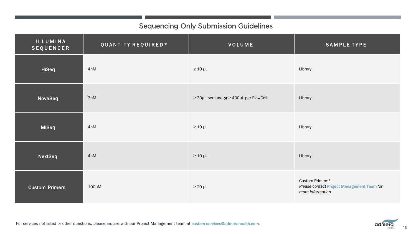# Sequencing Only Submission Guidelines

<span id="page-9-1"></span><span id="page-9-0"></span>

| <b>ILLUMINA</b><br><b>SEQUENCER</b> | QUANTITY REQUIRED* | VOLUME                                            | <b>SAMPLE TYPE</b>                                                                |
|-------------------------------------|--------------------|---------------------------------------------------|-----------------------------------------------------------------------------------|
| <b>HiSeq</b>                        | 4nM                | $\geq 10$ µL                                      | Library                                                                           |
| NovaSeq                             | 3nM                | $\geq$ 30µL per lane or $\geq$ 400µL per FlowCell | Library                                                                           |
| MiSeq                               | 4nM                | $\geq 10$ µL                                      | Library                                                                           |
| NextSeq                             | 4nM                | $\geq 10$ µL                                      | Library                                                                           |
| <b>Custom Primers</b>               | 100uM              | $\geq 20$ µL                                      | Custom Primers*<br>Please contact Project Management Team for<br>more information |

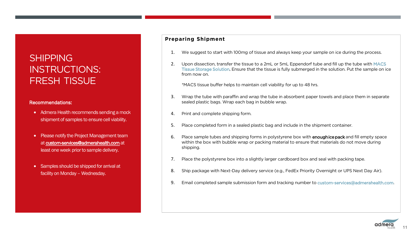# <span id="page-10-1"></span><span id="page-10-0"></span>**SHIPPING** INSTRUCTIONS: FRESH TISSUE

#### Recommendations:

- Admera Health recommends sending a mock shipment of samples to ensure cell viability.
- Please notify the Project Management team at [custom-services@admerahealth.com](mailto:custom-services@admerahealth.com) at least one week prior to sample delivery.
- Samples should be shipped for arrival at facility on Monday – Wednesday.

#### **Preparing Shipment**

- 1. We suggest to start with 100mg of tissue and always keep your sample on ice during the process.
- 2. Upon dissection, transfer the tissue to a 2mL or 5mL Eppendorf tube and fill up the tube with MACS [Tissue Storage Solution. Ensure](https://www.miltenyibiotec.com/US-en/products/macs-tissue-storage-solution.html#gref) that the tissue is fully submerged in the solution. Put the sample on ice from now on.

\*MACS tissue buffer helps to maintain cell viability for up to 48 hrs.

- 3. Wrap the tube with paraffin and wrap the tube in absorbent paper towels and place them in separate sealed plastic bags. Wrap each bag in bubble wrap.
- 4. Print and complete shipping form.
- 5. Place completed form in a sealed plastic bag and include in the shipment container.
- Place sample tubes and shipping forms in polystyrene box with **enough ice pack** and fill empty space within the box with bubble wrap or packing material to ensure that materials do not move during shipping.
- 7. Place the polystyrene box into a slightly larger cardboard box and seal with packing tape.
- 8. Ship package with Next-Day delivery service (e.g., FedEx Priority Overnight or UPS Next Day Air).
- 9. Email completed sample submission form and tracking number to [custom-services@admerahealth.com.](mailto: custom-services@admerahealth.com)

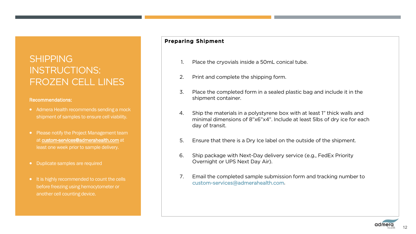# <span id="page-11-1"></span><span id="page-11-0"></span>SHIPPING INSTRUCTIONS: FROZEN CELL LINES

#### Recommendations:

- Admera Health recommends sending a mock shipment of samples to ensure cell viability.
- Please notify the Project Management team at [custom-services@admerahealth.com](mailto:custom-services@admerahealth.com) at least one week prior to sample delivery.
- Duplicate samples are required
- It is highly recommended to count the cells before freezing using hemocytometer or another cell counting device.

### Preparing Shipment

- Place the cryovials inside a 50mL conical tube.
- 2. Print and complete the shipping form.
- 3. Place the completed form in a sealed plastic bag and include it in the shipment container.
- 4. Ship the materials in a polystyrene box with at least 1" thick walls and minimal dimensions of 8"x6"x4". Include at least 5lbs of dry ice for each day of transit.
- 5. Ensure that there is a Dry Ice label on the outside of the shipment.
- 6. Ship package with Next-Day delivery service (e.g., FedEx Priority Overnight or UPS Next Day Air).
- 7. Email the completed sample submission form and tracking number to [custom-services@admerahealth.com.](mailto:custom-services@admerahealth.com)

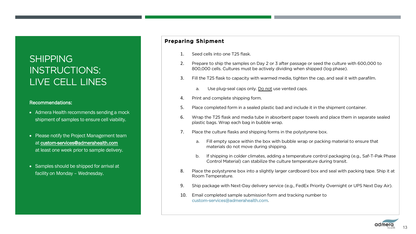# <span id="page-12-1"></span><span id="page-12-0"></span>**SHIPPING** INSTRUCTIONS: LIVE CELL LINES

#### Recommendations:

- Admera Health recommends sending a mock shipment of samples to ensure cell viability.
- Please notify the Project Management team at [custom-services@admerahealth.com](mailto:custom-services@admerahealth.com) at least one week prior to sample delivery.
- Samples should be shipped for arrival at facility on Monday – Wednesday.

### Preparing Shipment

- 1. Seed cells into one T25 flask.
- 2. Prepare to ship the samples on Day 2 or 3 after passage or seed the culture with 600,000 to 800,000 cells. Cultures must be actively dividing when shipped (log phase).
- 3. Fill the T25 flask to capacity with warmed media, tighten the cap, and seal it with parafilm.
	- a. Use plug-seal caps only. Do not use vented caps.
- 4. Print and complete shipping form.
- 5. Place completed form in a sealed plastic bad and include it in the shipment container.
- 6. Wrap the T25 flask and media tube in absorbent paper towels and place them in separate sealed plastic bags. Wrap each bag in bubble wrap.
- 7. Place the culture flasks and shipping forms in the polystyrene box.
	- a. Fill empty space within the box with bubble wrap or packing material to ensure that materials do not move during shipping.
	- b. If shipping in colder climates, adding a temperature control packaging (e.g., Saf-T-Pak Phase Control Material) can stabilize the culture temperature during transit.
- 8. Place the polystyrene box into a slightly larger cardboard box and seal with packing tape. Ship it at Room Temperature.
- 9. Ship package with Next-Day delivery service (e.g., FedEx Priority Overnight or UPS Next Day Air).
- 10. Email completed sample submission form and tracking number to [custom-services@admerahealth.com](mailto:custom-services@admerahealth.com).